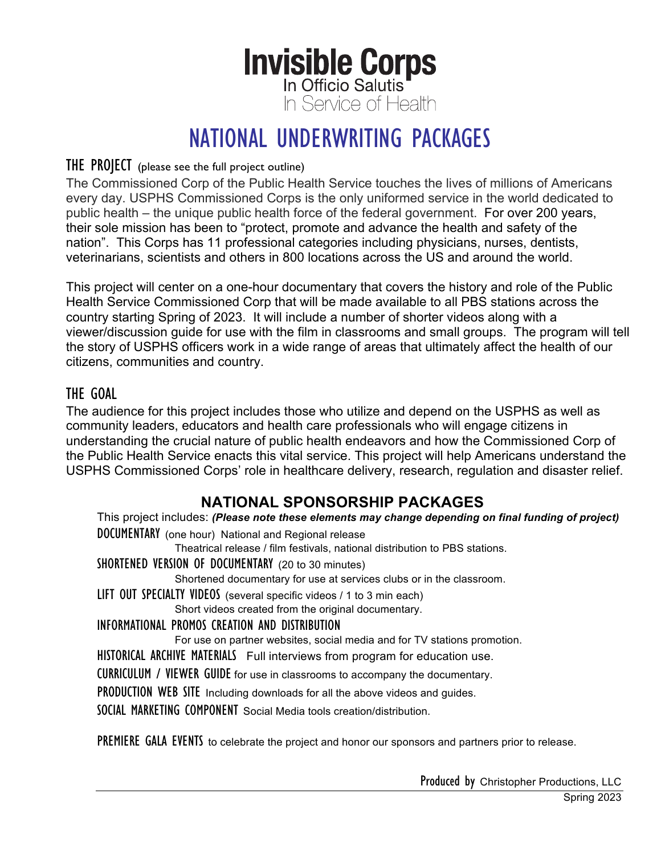# **Invisible Corps** In Service of Health

## NATIONAL UNDERWRITING PACKAGES

#### THE PROJECT (please see the full project outline)

The Commissioned Corp of the Public Health Service touches the lives of millions of Americans every day. USPHS Commissioned Corps is the only uniformed service in the world dedicated to public health – the unique public health force of the federal government. For over 200 years, their sole mission has been to "protect, promote and advance the health and safety of the nation". This Corps has 11 professional categories including physicians, nurses, dentists, veterinarians, scientists and others in 800 locations across the US and around the world.

This project will center on a one-hour documentary that covers the history and role of the Public Health Service Commissioned Corp that will be made available to all PBS stations across the country starting Spring of 2023. It will include a number of shorter videos along with a viewer/discussion guide for use with the film in classrooms and small groups. The program will tell the story of USPHS officers work in a wide range of areas that ultimately affect the health of our citizens, communities and country.

#### THE GOAL

The audience for this project includes those who utilize and depend on the USPHS as well as community leaders, educators and health care professionals who will engage citizens in understanding the crucial nature of public health endeavors and how the Commissioned Corp of the Public Health Service enacts this vital service. This project will help Americans understand the USPHS Commissioned Corps' role in healthcare delivery, research, regulation and disaster relief.

#### **NATIONAL SPONSORSHIP PACKAGES**

This project includes: *(Please note these elements may change depending on final funding of project)* DOCUMENTARY (one hour) National and Regional release

Theatrical release / film festivals, national distribution to PBS stations.

SHORTENED VERSION OF DOCUMENTARY (20 to 30 minutes)

Shortened documentary for use at services clubs or in the classroom.

LIFT OUT SPECIALTY VIDEOS (several specific videos / 1 to 3 min each)

Short videos created from the original documentary.

#### INFORMATIONAL PROMOS CREATION AND DISTRIBUTION

For use on partner websites, social media and for TV stations promotion.

HISTORICAL ARCHIVE MATERIALS Full interviews from program for education use.

CURRICULUM / VIEWER GUIDE for use in classrooms to accompany the documentary.

PRODUCTION WEB SITE Including downloads for all the above videos and guides.

SOCIAL MARKETING COMPONENT Social Media tools creation/distribution.

PREMIERE GALA EVENTS to celebrate the project and honor our sponsors and partners prior to release.

Produced by Christopher Productions, LLC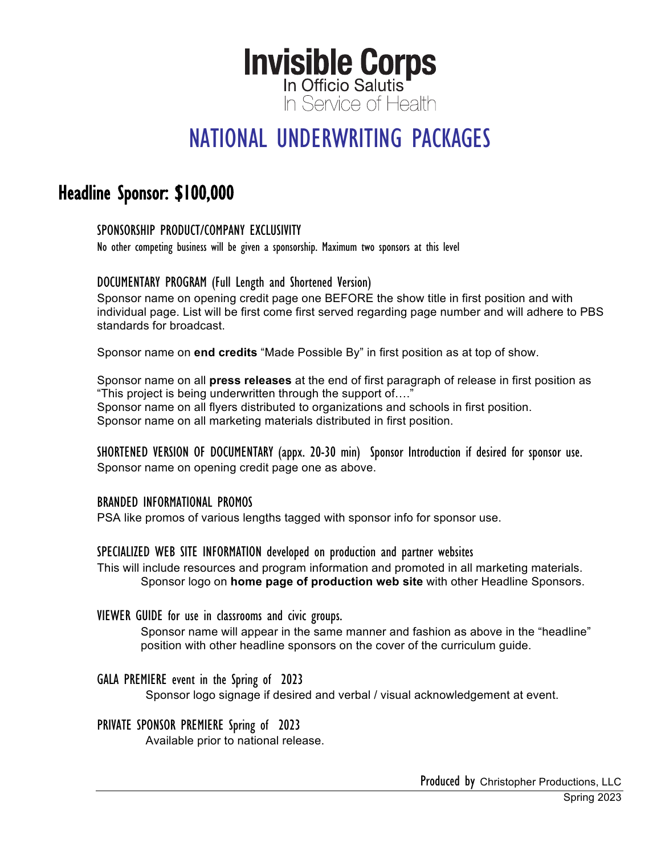## NATIONAL UNDERWRITING PACKAGES

### Headline Sponsor: \$100,000

#### SPONSORSHIP PRODUCT/COMPANY EXCLUSIVITY

No other competing business will be given a sponsorship. Maximum two sponsors at this level

#### DOCUMENTARY PROGRAM (Full Length and Shortened Version)

Sponsor name on opening credit page one BEFORE the show title in first position and with individual page. List will be first come first served regarding page number and will adhere to PBS standards for broadcast.

Sponsor name on **end credits** "Made Possible By" in first position as at top of show.

Sponsor name on all **press releases** at the end of first paragraph of release in first position as "This project is being underwritten through the support of…." Sponsor name on all flyers distributed to organizations and schools in first position. Sponsor name on all marketing materials distributed in first position.

SHORTENED VERSION OF DOCUMENTARY (appx. 20-30 min) Sponsor Introduction if desired for sponsor use. Sponsor name on opening credit page one as above.

#### BRANDED INFORMATIONAL PROMOS

PSA like promos of various lengths tagged with sponsor info for sponsor use.

#### SPECIALIZED WEB SITE INFORMATION developed on production and partner websites

This will include resources and program information and promoted in all marketing materials. Sponsor logo on **home page of production web site** with other Headline Sponsors.

#### VIEWER GUIDE for use in classrooms and civic groups.

Sponsor name will appear in the same manner and fashion as above in the "headline" position with other headline sponsors on the cover of the curriculum guide.

GALA PREMIERE event in the Spring of 2023

Sponsor logo signage if desired and verbal / visual acknowledgement at event.

#### PRIVATE SPONSOR PREMIERE Spring of 2023

Available prior to national release.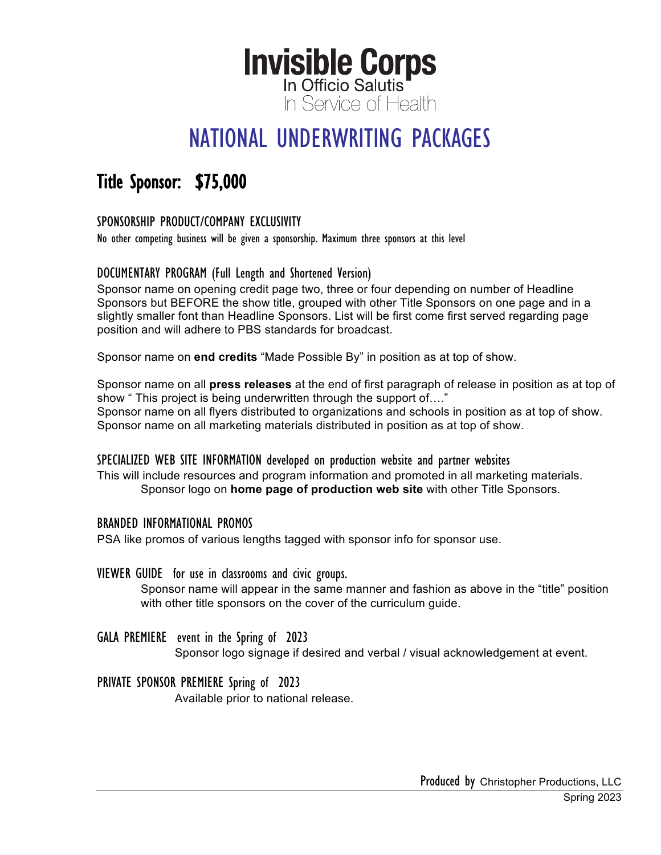## NATIONAL UNDERWRITING PACKAGES

## Title Sponsor: \$75,000

#### SPONSORSHIP PRODUCT/COMPANY EXCLUSIVITY

No other competing business will be given a sponsorship. Maximum three sponsors at this level

#### DOCUMENTARY PROGRAM (Full Length and Shortened Version)

Sponsor name on opening credit page two, three or four depending on number of Headline Sponsors but BEFORE the show title, grouped with other Title Sponsors on one page and in a slightly smaller font than Headline Sponsors. List will be first come first served regarding page position and will adhere to PBS standards for broadcast.

Sponsor name on **end credits** "Made Possible By" in position as at top of show.

Sponsor name on all **press releases** at the end of first paragraph of release in position as at top of show " This project is being underwritten through the support of…." Sponsor name on all flyers distributed to organizations and schools in position as at top of show. Sponsor name on all marketing materials distributed in position as at top of show.

#### SPECIALIZED WEB SITE INFORMATION developed on production website and partner websites

This will include resources and program information and promoted in all marketing materials. Sponsor logo on **home page of production web site** with other Title Sponsors.

#### BRANDED INFORMATIONAL PROMOS

PSA like promos of various lengths tagged with sponsor info for sponsor use.

#### VIEWER GUIDE for use in classrooms and civic groups.

Sponsor name will appear in the same manner and fashion as above in the "title" position with other title sponsors on the cover of the curriculum guide.

#### GALA PREMIERE event in the Spring of 2023

Sponsor logo signage if desired and verbal / visual acknowledgement at event.

#### PRIVATE SPONSOR PREMIERE Spring of 2023

Available prior to national release.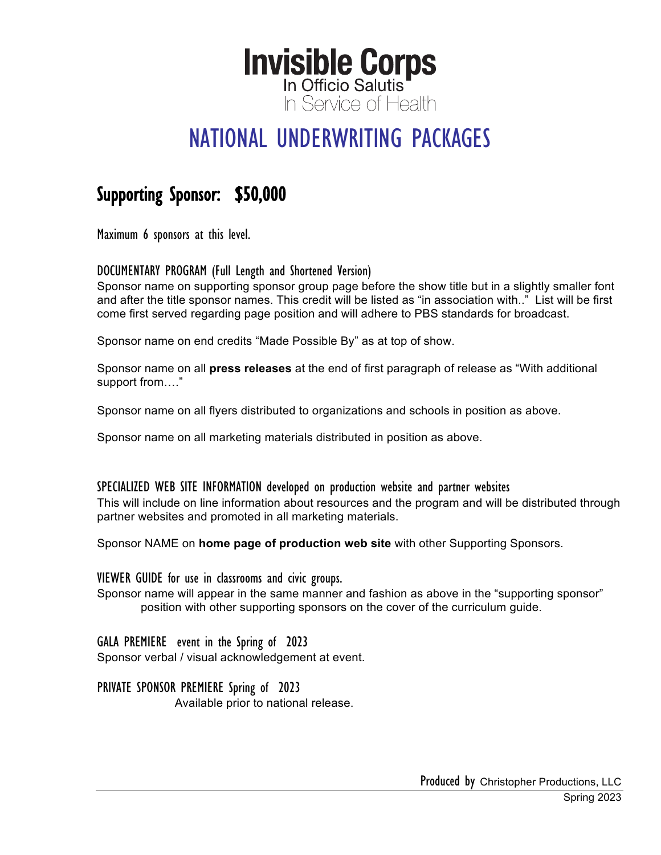## NATIONAL UNDERWRITING PACKAGES

### Supporting Sponsor: \$50,000

Maximum 6 sponsors at this level.

DOCUMENTARY PROGRAM (Full Length and Shortened Version)

Sponsor name on supporting sponsor group page before the show title but in a slightly smaller font and after the title sponsor names. This credit will be listed as "in association with.." List will be first come first served regarding page position and will adhere to PBS standards for broadcast.

Sponsor name on end credits "Made Possible By" as at top of show.

Sponsor name on all **press releases** at the end of first paragraph of release as "With additional support from…."

Sponsor name on all flyers distributed to organizations and schools in position as above.

Sponsor name on all marketing materials distributed in position as above.

#### SPECIALIZED WEB SITE INFORMATION developed on production website and partner websites

This will include on line information about resources and the program and will be distributed through partner websites and promoted in all marketing materials.

Sponsor NAME on **home page of production web site** with other Supporting Sponsors.

VIEWER GUIDE for use in classrooms and civic groups.

Sponsor name will appear in the same manner and fashion as above in the "supporting sponsor" position with other supporting sponsors on the cover of the curriculum guide.

GALA PREMIERE event in the Spring of 2023 Sponsor verbal / visual acknowledgement at event.

PRIVATE SPONSOR PREMIERE Spring of 2023

Available prior to national release.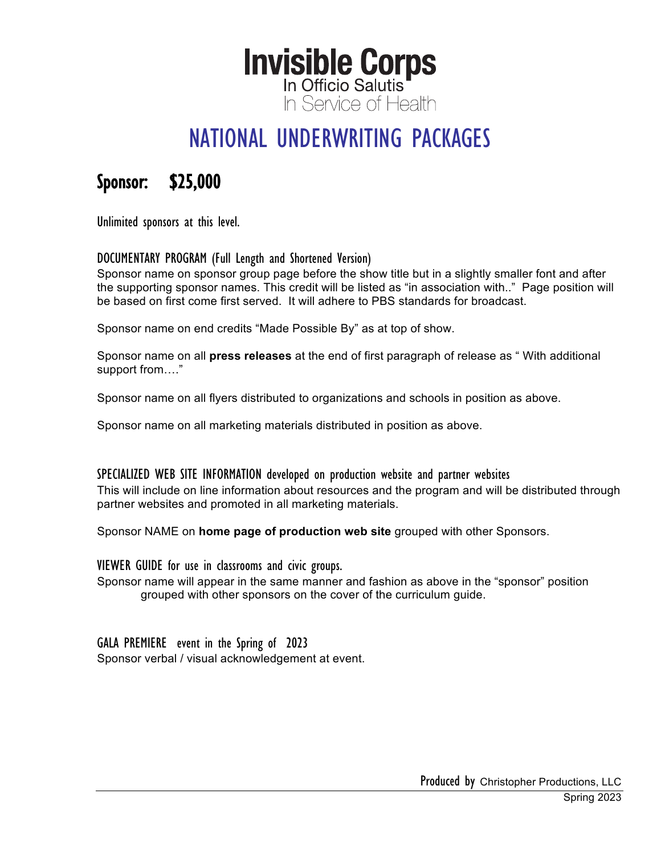## NATIONAL UNDERWRITING PACKAGES

### Sponsor: \$25,000

Unlimited sponsors at this level.

#### DOCUMENTARY PROGRAM (Full Length and Shortened Version)

Sponsor name on sponsor group page before the show title but in a slightly smaller font and after the supporting sponsor names. This credit will be listed as "in association with.." Page position will be based on first come first served. It will adhere to PBS standards for broadcast.

Sponsor name on end credits "Made Possible By" as at top of show.

Sponsor name on all **press releases** at the end of first paragraph of release as " With additional support from…."

Sponsor name on all flyers distributed to organizations and schools in position as above.

Sponsor name on all marketing materials distributed in position as above.

#### SPECIALIZED WEB SITE INFORMATION developed on production website and partner websites

This will include on line information about resources and the program and will be distributed through partner websites and promoted in all marketing materials.

Sponsor NAME on **home page of production web site** grouped with other Sponsors.

VIEWER GUIDE for use in classrooms and civic groups.

Sponsor name will appear in the same manner and fashion as above in the "sponsor" position grouped with other sponsors on the cover of the curriculum guide.

GALA PREMIERE event in the Spring of 2023 Sponsor verbal / visual acknowledgement at event.